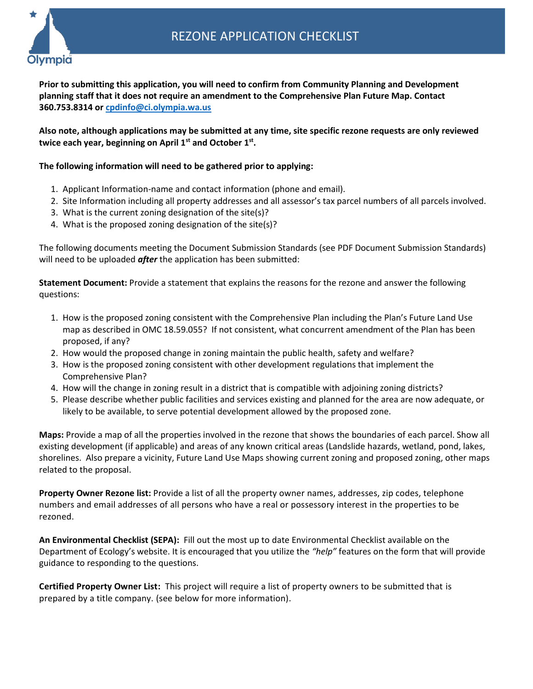**Prior to submitting this application, you will need to confirm from Community Planning and Development planning staff that it does not require an amendment to the Comprehensive Plan Future Map. Contact 360.753.8314 or [cpdinfo@ci.olympia.wa.us](mailto:cpdinfo@ci.olympia.wa.us)**

**Also note, although applications may be submitted at any time, site specific rezone requests are only reviewed twice each year, beginning on April 1st and October 1st .** 

## **The following information will need to be gathered prior to applying:**

- 1. Applicant Information-name and contact information (phone and email).
- 2. Site Information including all property addresses and all assessor's tax parcel numbers of all parcels involved.
- 3. What is the current zoning designation of the site(s)?
- 4. What is the proposed zoning designation of the site(s)?

The following documents meeting the Document Submission Standards (see PDF Document Submission Standards) will need to be uploaded *after* the application has been submitted:

**Statement Document:** Provide a statement that explains the reasons for the rezone and answer the following questions:

- 1. How is the proposed zoning consistent with the Comprehensive Plan including the Plan's Future Land Use map as described in OMC 18.59.055? If not consistent, what concurrent amendment of the Plan has been proposed, if any?
- 2. How would the proposed change in zoning maintain the public health, safety and welfare?
- 3. How is the proposed zoning consistent with other development regulations that implement the Comprehensive Plan?
- 4. How will the change in zoning result in a district that is compatible with adjoining zoning districts?
- 5. Please describe whether public facilities and services existing and planned for the area are now adequate, or likely to be available, to serve potential development allowed by the proposed zone.

**Maps:** Provide a map of all the properties involved in the rezone that shows the boundaries of each parcel. Show all existing development (if applicable) and areas of any known critical areas (Landslide hazards, wetland, pond, lakes, shorelines. Also prepare a vicinity, Future Land Use Maps showing current zoning and proposed zoning, other maps related to the proposal.

**Property Owner Rezone list:** Provide a list of all the property owner names, addresses, zip codes, telephone numbers and email addresses of all persons who have a real or possessory interest in the properties to be rezoned.

**An Environmental Checklist (SEPA):** Fill out the most up to date Environmental Checklist available on the Department of Ecology's website. It is encouraged that you utilize the *"help"* features on the form that will provide guidance to responding to the questions.

**Certified Property Owner List:** This project will require a list of property owners to be submitted that is prepared by a title company. (see below for more information).